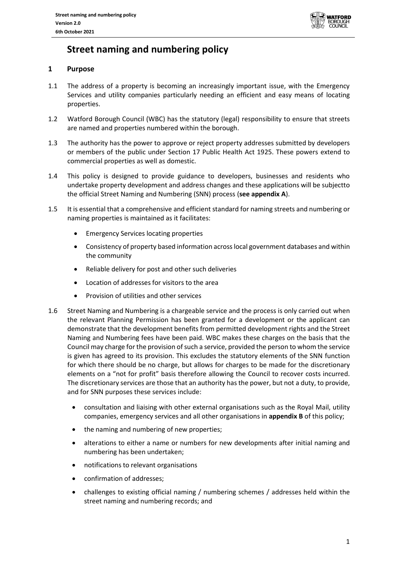

# **Street naming and numbering policy**

# **1 Purpose**

- 1.1 The address of a property is becoming an increasingly important issue, with the Emergency Services and utility companies particularly needing an efficient and easy means of locating properties.
- 1.2 Watford Borough Council (WBC) has the statutory (legal) responsibility to ensure that streets are named and properties numbered within the borough.
- 1.3 The authority has the power to approve or reject property addresses submitted by developers or members of the public under Section 17 Public Health Act 1925. These powers extend to commercial properties as well as domestic.
- 1.4 This policy is designed to provide guidance to developers, businesses and residents who undertake property development and address changes and these applications will be subjectto the official Street Naming and Numbering (SNN) process (**see appendix A**).
- 1.5 It is essential that a comprehensive and efficient standard for naming streets and numbering or naming properties is maintained as it facilitates:
	- Emergency Services locating properties
	- Consistency of property based information across local government databases and within the community
	- Reliable delivery for post and other such deliveries
	- Location of addresses for visitors to the area
	- Provision of utilities and other services
- 1.6 Street Naming and Numbering is a chargeable service and the process is only carried out when the relevant Planning Permission has been granted for a development or the applicant can demonstrate that the development benefits from permitted development rights and the Street Naming and Numbering fees have been paid. WBC makes these charges on the basis that the Council may charge for the provision of such a service, provided the person to whom the service is given has agreed to its provision. This excludes the statutory elements of the SNN function for which there should be no charge, but allows for charges to be made for the discretionary elements on a "not for profit" basis therefore allowing the Council to recover costs incurred. The discretionary services are those that an authority has the power, but not a duty, to provide, and for SNN purposes these services include:
	- consultation and liaising with other external organisations such as the Royal Mail, utility companies, emergency services and all other organisations in **appendix B** of this policy;
	- the naming and numbering of new properties;
	- alterations to either a name or numbers for new developments after initial naming and numbering has been undertaken;
	- notifications to relevant organisations
	- confirmation of addresses;
	- challenges to existing official naming / numbering schemes / addresses held within the street naming and numbering records; and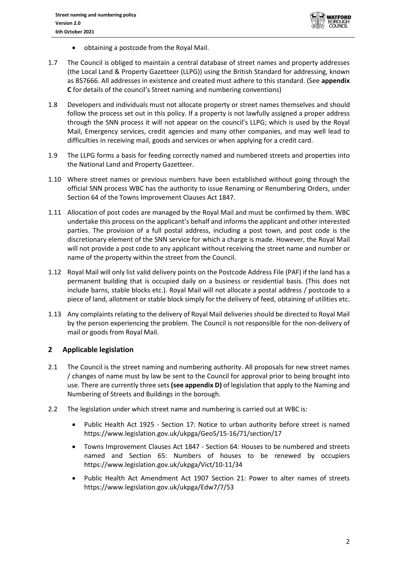

- obtaining a postcode from the Royal Mail.
- 1.7 The Council is obliged to maintain a central database of street names and property addresses (the Local Land & Property Gazetteer (LLPG)) using the British Standard for addressing, known as BS7666. All addresses in existence and created must adhere to this standard. (See **appendix C** for details of the council's Street naming and numbering conventions)
- 1.8 Developers and individuals must not allocate property or street names themselves and should follow the process set out in this policy. If a property is not lawfully assigned a proper address through the SNN process it will not appear on the council's LLPG; which is used by the Royal Mail, Emergency services, credit agencies and many other companies, and may well lead to difficulties in receiving mail, goods and services or when applying for a credit card.
- 1.9 The LLPG forms a basis for feeding correctly named and numbered streets and properties into the National Land and Property Gazetteer.
- 1.10 Where street names or previous numbers have been established without going through the official SNN process WBC has the authority to issue Renaming or Renumbering Orders, under Section 64 of the Towns Improvement Clauses Act 1847.
- 1.11 Allocation of post codes are managed by the Royal Mail and must be confirmed by them. WBC undertake this process on the applicant's behalf and informs the applicant and other interested parties. The provision of a full postal address, including a post town, and post code is the discretionary element of the SNN service for which a charge is made. However, the Royal Mail will not provide a post code to any applicant without receiving the street name and number or name of the property within the street from the Council.
- 1.12 Royal Mail will only list valid delivery points on the Postcode Address File (PAF) if the land has a permanent building that is occupied daily on a business or residential basis. (This does not include barns, stable blocks etc.). Royal Mail will not allocate a postal address / postcode to a piece of land, allotment or stable block simply for the delivery of feed, obtaining of utilities etc.
- 1.13 Any complaints relating to the delivery of Royal Mail deliveries should be directed to Royal Mail by the person experiencing the problem. The Council is not responsible for the non-delivery of mail or goods from Royal Mail.

# **2 Applicable legislation**

- 2.1 The Council is the street naming and numbering authority. All proposals for new street names / changes of name must by law be sent to the Council for approval prior to being brought into use. There are currently three sets **(see appendix D)** of legislation that apply to the Naming and Numbering of Streets and Buildings in the borough.
- 2.2 The legislation under which street name and numbering is carried out at WBC is:
	- Public Health Act 1925 Section 17: Notice to urban authority before street is named <https://www.legislation.gov.uk/ukpga/Geo5/15-16/71/section/17>
	- Towns Improvement Clauses Act 1847 Section 64: Houses to be numbered and streets named and Section 65: Numbers of houses to be renewed by occupiers <https://www.legislation.gov.uk/ukpga/Vict/10-11/34>
	- Public Health Act Amendment Act 1907 Section 21: Power to alter names of streets <https://www.legislation.gov.uk/ukpga/Edw7/7/53>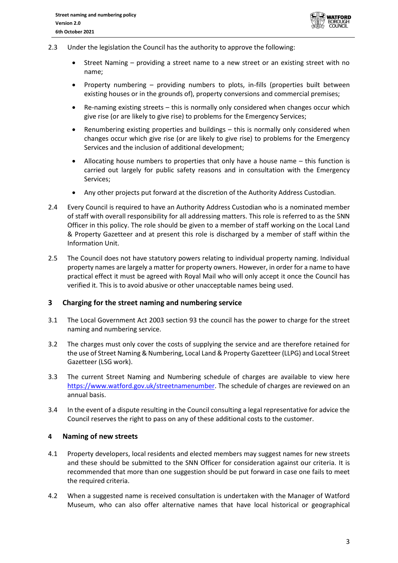

- 2.3 Under the legislation the Council has the authority to approve the following:
	- Street Naming providing a street name to a new street or an existing street with no name;
	- Property numbering providing numbers to plots, in-fills (properties built between existing houses or in the grounds of), property conversions and commercial premises;
	- Re-naming existing streets this is normally only considered when changes occur which give rise (or are likely to give rise) to problems for the Emergency Services;
	- Renumbering existing properties and buildings this is normally only considered when changes occur which give rise (or are likely to give rise) to problems for the Emergency Services and the inclusion of additional development;
	- Allocating house numbers to properties that only have a house name this function is carried out largely for public safety reasons and in consultation with the Emergency Services;
	- Any other projects put forward at the discretion of the Authority Address Custodian.
- 2.4 Every Council is required to have an Authority Address Custodian who is a nominated member of staff with overall responsibility for all addressing matters. This role is referred to as the SNN Officer in this policy. The role should be given to a member of staff working on the Local Land & Property Gazetteer and at present this role is discharged by a member of staff within the Information Unit.
- 2.5 The Council does not have statutory powers relating to individual property naming. Individual property names are largely a matter for property owners. However, in order for a name to have practical effect it must be agreed with Royal Mail who will only accept it once the Council has verified it. This is to avoid abusive or other unacceptable names being used.

# **3 Charging for the street naming and numbering service**

- 3.1 The Local Government Act 2003 section 93 the council has the power to charge for the street naming and numbering service.
- 3.2 The charges must only cover the costs of supplying the service and are therefore retained for the use of Street Naming & Numbering, Local Land & Property Gazetteer (LLPG) and Local Street Gazetteer (LSG work).
- 3.3 The current Street Naming and Numbering schedule of charges are available to view here [https://www.watford.gov.uk/streetnamenumber.](https://www.watford.gov.uk/streetnamenumber) The schedule of charges are reviewed on an annual basis.
- 3.4 In the event of a dispute resulting in the Council consulting a legal representative for advice the Council reserves the right to pass on any of these additional costs to the customer.

#### **4 Naming of new streets**

- 4.1 Property developers, local residents and elected members may suggest names for new streets and these should be submitted to the SNN Officer for consideration against our criteria. It is recommended that more than one suggestion should be put forward in case one fails to meet the required criteria.
- 4.2 When a suggested name is received consultation is undertaken with the Manager of Watford Museum, who can also offer alternative names that have local historical or geographical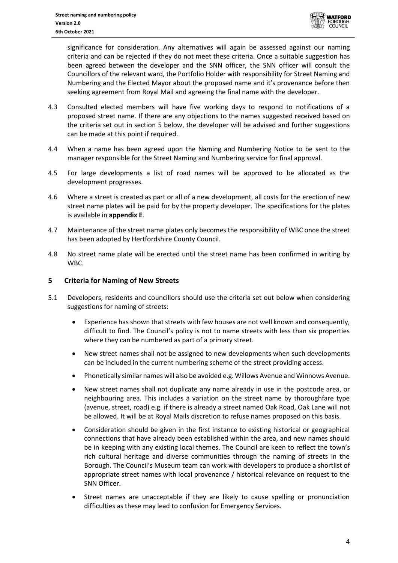

significance for consideration. Any alternatives will again be assessed against our naming criteria and can be rejected if they do not meet these criteria. Once a suitable suggestion has been agreed between the developer and the SNN officer, the SNN officer will consult the Councillors of the relevant ward, the Portfolio Holder with responsibility for Street Naming and Numbering and the Elected Mayor about the proposed name and it's provenance before then seeking agreement from Royal Mail and agreeing the final name with the developer.

- 4.3 Consulted elected members will have five working days to respond to notifications of a proposed street name. If there are any objections to the names suggested received based on the criteria set out in section 5 below, the developer will be advised and further suggestions can be made at this point if required.
- 4.4 When a name has been agreed upon the Naming and Numbering Notice to be sent to the manager responsible for the Street Naming and Numbering service for final approval.
- 4.5 For large developments a list of road names will be approved to be allocated as the development progresses.
- 4.6 Where a street is created as part or all of a new development, all costs for the erection of new street name plates will be paid for by the property developer. The specifications for the plates is available in **appendix E**.
- 4.7 Maintenance of the street name plates only becomes the responsibility of WBC once the street has been adopted by Hertfordshire County Council.
- 4.8 No street name plate will be erected until the street name has been confirmed in writing by WBC.

## **5 Criteria for Naming of New Streets**

- 5.1 Developers, residents and councillors should use the criteria set out below when considering suggestions for naming of streets:
	- Experience has shown that streets with few houses are not well known and consequently, difficult to find. The Council's policy is not to name streets with less than six properties where they can be numbered as part of a primary street.
	- New street names shall not be assigned to new developments when such developments can be included in the current numbering scheme of the street providing access.
	- Phonetically similar names will also be avoided e.g. Willows Avenue and Winnows Avenue.
	- New street names shall not duplicate any name already in use in the postcode area, or neighbouring area. This includes a variation on the street name by thoroughfare type (avenue, street, road) e.g. if there is already a street named Oak Road, Oak Lane will not be allowed. It will be at Royal Mails discretion to refuse names proposed on this basis.
	- Consideration should be given in the first instance to existing historical or geographical connections that have already been established within the area, and new names should be in keeping with any existing local themes. The Council are keen to reflect the town's rich cultural heritage and diverse communities through the naming of streets in the Borough. The Council's Museum team can work with developers to produce a shortlist of appropriate street names with local provenance / historical relevance on request to the SNN Officer.
	- Street names are unacceptable if they are likely to cause spelling or pronunciation difficulties as these may lead to confusion for Emergency Services.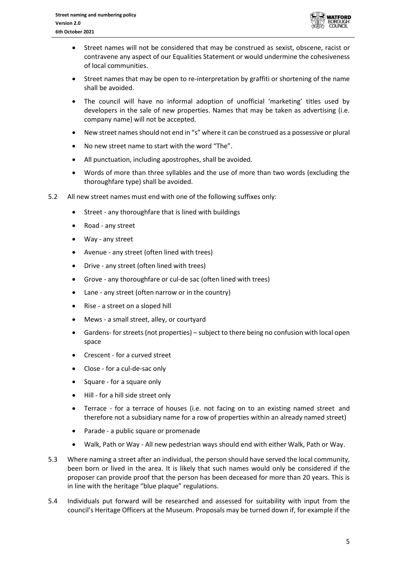

- Street names will not be considered that may be construed as sexist, obscene, racist or contravene any aspect of our Equalities Statement or would undermine the cohesiveness of local communities.
- Street names that may be open to re-interpretation by graffiti or shortening of the name shall be avoided.
- The council will have no informal adoption of unofficial 'marketing' titles used by developers in the sale of new properties. Names that may be taken as advertising (i.e. company name) will not be accepted.
- New street names should not end in "s" where it can be construed as a possessive or plural
- No new street name to start with the word "The".
- All punctuation, including apostrophes, shall be avoided.
- Words of more than three syllables and the use of more than two words (excluding the thoroughfare type) shall be avoided.
- 5.2 All new street names must end with one of the following suffixes only:
	- Street any thoroughfare that is lined with buildings
	- Road any street
	- Way any street
	- Avenue any street (often lined with trees)
	- Drive any street (often lined with trees)
	- Grove any thoroughfare or cul-de sac (often lined with trees)
	- Lane any street (often narrow or in the country)
	- Rise a street on a sloped hill
	- Mews a small street, alley, or courtyard
	- Gardens- for streets (not properties) subject to there being no confusion with local open space
	- Crescent for a curved street
	- Close for a cul-de-sac only
	- Square for a square only
	- Hill for a hill side street only
	- Terrace for a terrace of houses (i.e. not facing on to an existing named street and therefore not a subsidiary name for a row of properties within an already named street)
	- Parade a public square or promenade
	- Walk, Path or Way All new pedestrian ways should end with either Walk, Path or Way.
- 5.3 Where naming a street after an individual, the person should have served the local community, been born or lived in the area. It is likely that such names would only be considered if the proposer can provide proof that the person has been deceased for more than 20 years. This is in line with the heritage "blue plaque" regulations.
- 5.4 Individuals put forward will be researched and assessed for suitability with input from the council's Heritage Officers at the Museum. Proposals may be turned down if, for example if the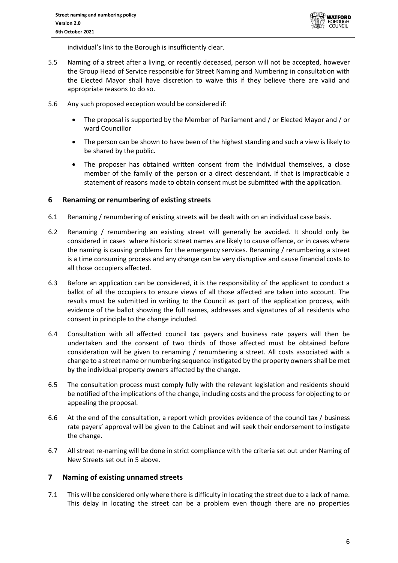

individual's link to the Borough is insufficiently clear.

- 5.5 Naming of a street after a living, or recently deceased, person will not be accepted, however the Group Head of Service responsible for Street Naming and Numbering in consultation with the Elected Mayor shall have discretion to waive this if they believe there are valid and appropriate reasons to do so.
- 5.6 Any such proposed exception would be considered if:
	- The proposal is supported by the Member of Parliament and / or Elected Mayor and / or ward Councillor
	- The person can be shown to have been of the highest standing and such a view is likely to be shared by the public.
	- The proposer has obtained written consent from the individual themselves, a close member of the family of the person or a direct descendant. If that is impracticable a statement of reasons made to obtain consent must be submitted with the application.

## **6 Renaming or renumbering of existing streets**

- 6.1 Renaming / renumbering of existing streets will be dealt with on an individual case basis.
- 6.2 Renaming / renumbering an existing street will generally be avoided. It should only be considered in cases where historic street names are likely to cause offence, or in cases where the naming is causing problems for the emergency services. Renaming / renumbering a street is a time consuming process and any change can be very disruptive and cause financial costs to all those occupiers affected.
- 6.3 Before an application can be considered, it is the responsibility of the applicant to conduct a ballot of all the occupiers to ensure views of all those affected are taken into account. The results must be submitted in writing to the Council as part of the application process, with evidence of the ballot showing the full names, addresses and signatures of all residents who consent in principle to the change included.
- 6.4 Consultation with all affected council tax payers and business rate payers will then be undertaken and the consent of two thirds of those affected must be obtained before consideration will be given to renaming / renumbering a street. All costs associated with a change to a street name or numbering sequence instigated by the property owners shall be met by the individual property owners affected by the change.
- 6.5 The consultation process must comply fully with the relevant legislation and residents should be notified of the implications of the change, including costs and the process for objecting to or appealing the proposal.
- 6.6 At the end of the consultation, a report which provides evidence of the council tax / business rate payers' approval will be given to the Cabinet and will seek their endorsement to instigate the change.
- 6.7 All street re-naming will be done in strict compliance with the criteria set out under Naming of New Streets set out in 5 above.

# **7 Naming of existing unnamed streets**

7.1 This will be considered only where there is difficulty in locating the street due to a lack of name. This delay in locating the street can be a problem even though there are no properties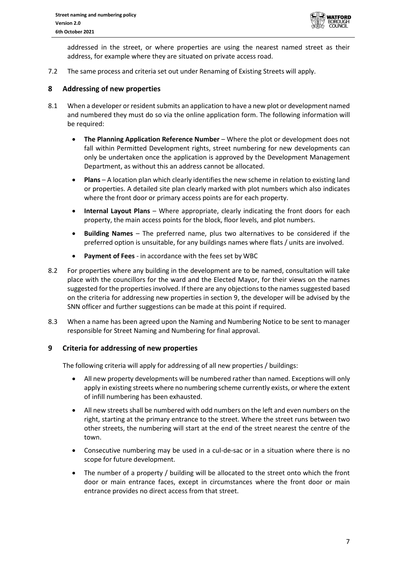

addressed in the street, or where properties are using the nearest named street as their address, for example where they are situated on private access road.

7.2 The same process and criteria set out under Renaming of Existing Streets will apply.

## **8 Addressing of new properties**

- 8.1 When a developer or resident submits an application to have a new plot or development named and numbered they must do so via the online application form. The following information will be required:
	- **The Planning Application Reference Number**  Where the plot or development does not fall within Permitted Development rights, street numbering for new developments can only be undertaken once the application is approved by the Development Management Department, as without this an address cannot be allocated.
	- **Plans**  A location plan which clearly identifies the new scheme in relation to existing land or properties. A detailed site plan clearly marked with plot numbers which also indicates where the front door or primary access points are for each property.
	- **Internal Layout Plans** Where appropriate, clearly indicating the front doors for each property, the main access points for the block, floor levels, and plot numbers.
	- **Building Names**  The preferred name, plus two alternatives to be considered if the preferred option is unsuitable, for any buildings names where flats / units are involved.
	- **Payment of Fees** in accordance with the fees set by WBC
- 8.2 For properties where any building in the development are to be named, consultation will take place with the councillors for the ward and the Elected Mayor, for their views on the names suggested for the properties involved. If there are any objections to the names suggested based on the criteria for addressing new properties in section 9, the developer will be advised by the SNN officer and further suggestions can be made at this point if required.
- 8.3 When a name has been agreed upon the Naming and Numbering Notice to be sent to manager responsible for Street Naming and Numbering for final approval.

# **9 Criteria for addressing of new properties**

The following criteria will apply for addressing of all new properties / buildings:

- All new property developments will be numbered rather than named. Exceptions will only apply in existing streets where no numbering scheme currently exists, or where the extent of infill numbering has been exhausted.
- All new streets shall be numbered with odd numbers on the left and even numbers on the right, starting at the primary entrance to the street. Where the street runs between two other streets, the numbering will start at the end of the street nearest the centre of the town.
- Consecutive numbering may be used in a cul-de-sac or in a situation where there is no scope for future development.
- The number of a property / building will be allocated to the street onto which the front door or main entrance faces, except in circumstances where the front door or main entrance provides no direct access from that street.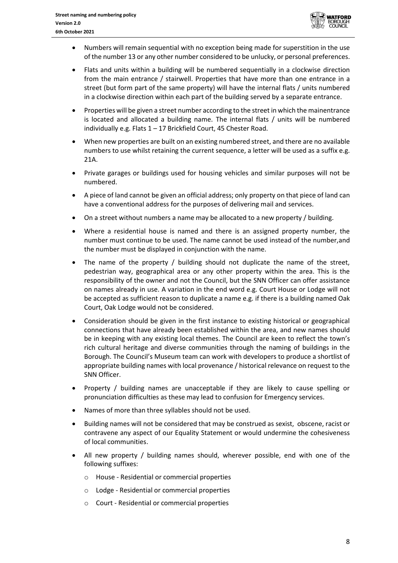

- Numbers will remain sequential with no exception being made for superstition in the use of the number 13 or any other number considered to be unlucky, or personal preferences.
- Flats and units within a building will be numbered sequentially in a clockwise direction from the main entrance / stairwell. Properties that have more than one entrance in a street (but form part of the same property) will have the internal flats / units numbered in a clockwise direction within each part of the building served by a separate entrance.
- Properties will be given a street number according to the street in which the mainentrance is located and allocated a building name. The internal flats / units will be numbered individually e.g. Flats 1 – 17 Brickfield Court, 45 Chester Road.
- When new properties are built on an existing numbered street, and there are no available numbers to use whilst retaining the current sequence, a letter will be used as a suffix e.g. 21A.
- Private garages or buildings used for housing vehicles and similar purposes will not be numbered.
- A piece of land cannot be given an official address; only property on that piece of land can have a conventional address for the purposes of delivering mail and services.
- On a street without numbers a name may be allocated to a new property / building.
- Where a residential house is named and there is an assigned property number, the number must continue to be used. The name cannot be used instead of the number,and the number must be displayed in conjunction with the name.
- The name of the property / building should not duplicate the name of the street, pedestrian way, geographical area or any other property within the area. This is the responsibility of the owner and not the Council, but the SNN Officer can offer assistance on names already in use. A variation in the end word e.g. Court House or Lodge will not be accepted as sufficient reason to duplicate a name e.g. if there is a building named Oak Court, Oak Lodge would not be considered.
- Consideration should be given in the first instance to existing historical or geographical connections that have already been established within the area, and new names should be in keeping with any existing local themes. The Council are keen to reflect the town's rich cultural heritage and diverse communities through the naming of buildings in the Borough. The Council's Museum team can work with developers to produce a shortlist of appropriate building names with local provenance / historical relevance on request to the SNN Officer.
- Property / building names are unacceptable if they are likely to cause spelling or pronunciation difficulties as these may lead to confusion for Emergency services.
- Names of more than three syllables should not be used.
- Building names will not be considered that may be construed as sexist, obscene, racist or contravene any aspect of our Equality Statement or would undermine the cohesiveness of local communities.
- All new property / building names should, wherever possible, end with one of the following suffixes:
	- o House Residential or commercial properties
	- o Lodge Residential or commercial properties
	- o Court Residential or commercial properties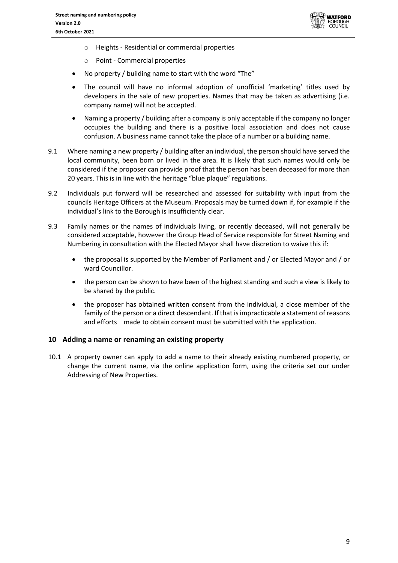

- o Heights Residential or commercial properties
- o Point Commercial properties
- No property / building name to start with the word "The"
- The council will have no informal adoption of unofficial 'marketing' titles used by developers in the sale of new properties. Names that may be taken as advertising (i.e. company name) will not be accepted.
- Naming a property / building after a company is only acceptable if the company no longer occupies the building and there is a positive local association and does not cause confusion. A business name cannot take the place of a number or a building name.
- 9.1 Where naming a new property / building after an individual, the person should have served the local community, been born or lived in the area. It is likely that such names would only be considered if the proposer can provide proof that the person has been deceased for more than 20 years. This is in line with the heritage "blue plaque" regulations.
- 9.2 Individuals put forward will be researched and assessed for suitability with input from the councils Heritage Officers at the Museum. Proposals may be turned down if, for example if the individual's link to the Borough is insufficiently clear.
- 9.3 Family names or the names of individuals living, or recently deceased, will not generally be considered acceptable, however the Group Head of Service responsible for Street Naming and Numbering in consultation with the Elected Mayor shall have discretion to waive this if:
	- the proposal is supported by the Member of Parliament and / or Elected Mayor and / or ward Councillor.
	- the person can be shown to have been of the highest standing and such a view is likely to be shared by the public.
	- the proposer has obtained written consent from the individual, a close member of the family of the person or a direct descendant. If that is impracticable a statement of reasons and efforts made to obtain consent must be submitted with the application.

#### **10 Adding a name or renaming an existing property**

10.1 A property owner can apply to add a name to their already existing numbered property, or change the current name, via the online application form, using the criteria set our under Addressing of New Properties.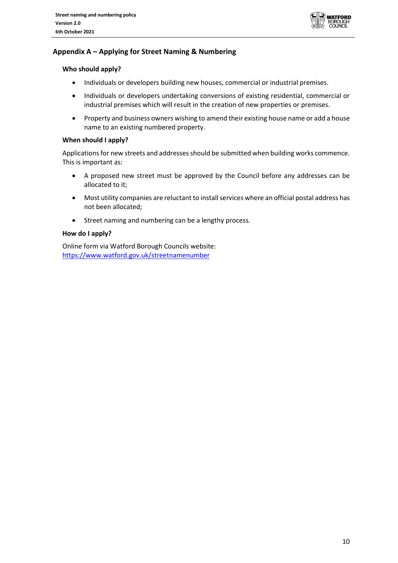

# **Appendix A – Applying for Street Naming & Numbering**

#### **Who should apply?**

- Individuals or developers building new houses, commercial or industrial premises.
- Individuals or developers undertaking conversions of existing residential, commercial or industrial premises which will result in the creation of new properties or premises.
- Property and business owners wishing to amend their existing house name or add a house name to an existing numbered property.

#### **When should I apply?**

Applications for new streets and addresses should be submitted when building works commence. This is important as:

- A proposed new street must be approved by the Council before any addresses can be allocated to it;
- Most utility companies are reluctant to install services where an official postal address has not been allocated;
- Street naming and numbering can be a lengthy process.

#### **How do I apply?**

Online form via Watford Borough Councils website: <https://www.watford.gov.uk/streetnamenumber>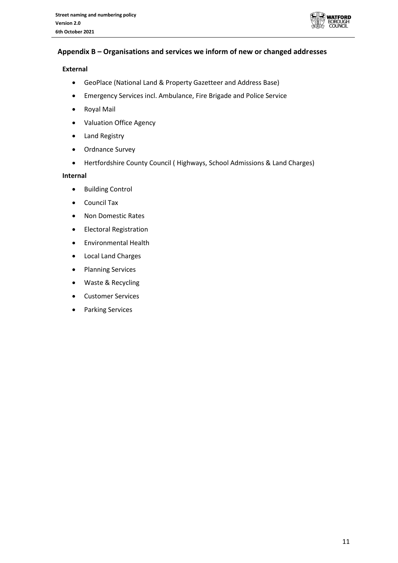

# **Appendix B – Organisations and services we inform of new or changed addresses**

## **External**

- GeoPlace (National Land & Property Gazetteer and Address Base)
- Emergency Services incl. Ambulance, Fire Brigade and Police Service
- Royal Mail
- Valuation Office Agency
- Land Registry
- Ordnance Survey
- Hertfordshire County Council ( Highways, School Admissions & Land Charges)

#### **Internal**

- Building Control
- Council Tax
- Non Domestic Rates
- Electoral Registration
- Environmental Health
- Local Land Charges
- Planning Services
- Waste & Recycling
- Customer Services
- Parking Services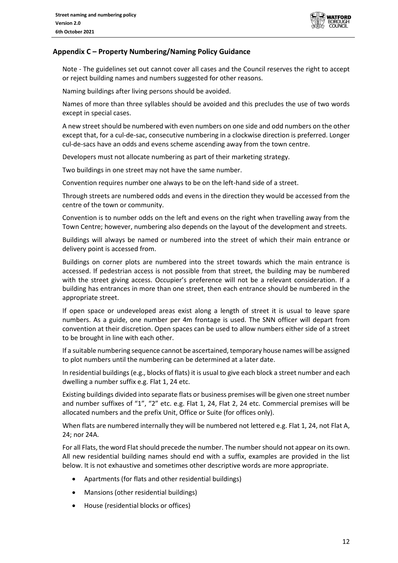

# **Appendix C – Property Numbering/Naming Policy Guidance**

Note - The guidelines set out cannot cover all cases and the Council reserves the right to accept or reject building names and numbers suggested for other reasons.

Naming buildings after living persons should be avoided.

Names of more than three syllables should be avoided and this precludes the use of two words except in special cases.

A new street should be numbered with even numbers on one side and odd numbers on the other except that, for a cul-de-sac, consecutive numbering in a clockwise direction is preferred. Longer cul-de-sacs have an odds and evens scheme ascending away from the town centre.

Developers must not allocate numbering as part of their marketing strategy.

Two buildings in one street may not have the same number.

Convention requires number one always to be on the left-hand side of a street.

Through streets are numbered odds and evens in the direction they would be accessed from the centre of the town or community.

Convention is to number odds on the left and evens on the right when travelling away from the Town Centre; however, numbering also depends on the layout of the development and streets.

Buildings will always be named or numbered into the street of which their main entrance or delivery point is accessed from.

Buildings on corner plots are numbered into the street towards which the main entrance is accessed. If pedestrian access is not possible from that street, the building may be numbered with the street giving access. Occupier's preference will not be a relevant consideration. If a building has entrances in more than one street, then each entrance should be numbered in the appropriate street.

If open space or undeveloped areas exist along a length of street it is usual to leave spare numbers. As a guide, one number per 4m frontage is used. The SNN officer will depart from convention at their discretion. Open spaces can be used to allow numbers either side of a street to be brought in line with each other.

If a suitable numbering sequence cannot be ascertained, temporary house names will be assigned to plot numbers until the numbering can be determined at a later date.

In residential buildings (e.g., blocks of flats) it is usual to give each block a street number and each dwelling a number suffix e.g. Flat 1, 24 etc.

Existing buildings divided into separate flats or business premises will be given one street number and number suffixes of "1", "2" etc. e.g. Flat 1, 24, Flat 2, 24 etc. Commercial premises will be allocated numbers and the prefix Unit, Office or Suite (for offices only).

When flats are numbered internally they will be numbered not lettered e.g. Flat 1, 24, not Flat A, 24; nor 24A.

For all Flats, the word Flat should precede the number. The number should not appear on its own. All new residential building names should end with a suffix, examples are provided in the list below. It is not exhaustive and sometimes other descriptive words are more appropriate.

- Apartments (for flats and other residential buildings)
- Mansions (other residential buildings)
- House (residential blocks or offices)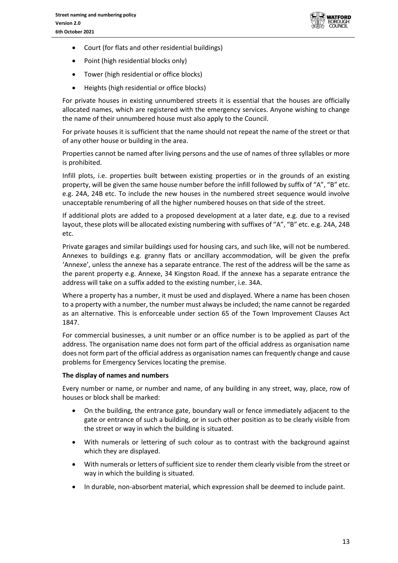

- Court (for flats and other residential buildings)
- Point (high residential blocks only)
- Tower (high residential or office blocks)
- Heights (high residential or office blocks)

For private houses in existing unnumbered streets it is essential that the houses are officially allocated names, which are registered with the emergency services. Anyone wishing to change the name of their unnumbered house must also apply to the Council.

For private houses it is sufficient that the name should not repeat the name of the street or that of any other house or building in the area.

Properties cannot be named after living persons and the use of names of three syllables or more is prohibited.

Infill plots, i.e. properties built between existing properties or in the grounds of an existing property, will be given the same house number before the infill followed by suffix of "A", "B" etc. e.g. 24A, 24B etc. To include the new houses in the numbered street sequence would involve unacceptable renumbering of all the higher numbered houses on that side of the street.

If additional plots are added to a proposed development at a later date, e.g. due to a revised layout, these plots will be allocated existing numbering with suffixes of "A", "B" etc. e.g. 24A, 24B etc.

Private garages and similar buildings used for housing cars, and such like, will not be numbered. Annexes to buildings e.g. granny flats or ancillary accommodation, will be given the prefix 'Annexe', unless the annexe has a separate entrance. The rest of the address will be the same as the parent property e.g. Annexe, 34 Kingston Road. If the annexe has a separate entrance the address will take on a suffix added to the existing number, i.e. 34A.

Where a property has a number, it must be used and displayed. Where a name has been chosen to a property with a number, the number must always be included; the name cannot be regarded as an alternative. This is enforceable under section 65 of the Town Improvement Clauses Act 1847.

For commercial businesses, a unit number or an office number is to be applied as part of the address. The organisation name does not form part of the official address as organisation name does not form part of the official address as organisation names can frequently change and cause problems for Emergency Services locating the premise.

#### **The display of names and numbers**

Every number or name, or number and name, of any building in any street, way, place, row of houses or block shall be marked:

- On the building, the entrance gate, boundary wall or fence immediately adjacent to the gate or entrance of such a building, or in such other position as to be clearly visible from the street or way in which the building is situated.
- With numerals or lettering of such colour as to contrast with the background against which they are displayed.
- With numerals or letters of sufficient size to render them clearly visible from the street or way in which the building is situated.
- In durable, non-absorbent material, which expression shall be deemed to include paint.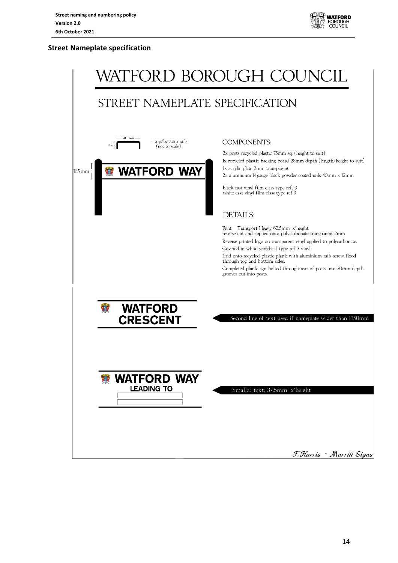

## **Street Nameplate specification**

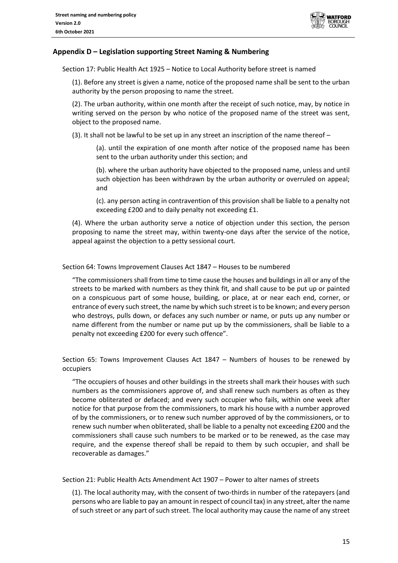

## **Appendix D – Legislation supporting Street Naming & Numbering**

Section 17: Public Health Act 1925 – Notice to Local Authority before street is named

(1). Before any street is given a name, notice of the proposed name shall be sent to the urban authority by the person proposing to name the street.

(2). The urban authority, within one month after the receipt of such notice, may, by notice in writing served on the person by who notice of the proposed name of the street was sent, object to the proposed name.

(3). It shall not be lawful to be set up in any street an inscription of the name thereof –

(a). until the expiration of one month after notice of the proposed name has been sent to the urban authority under this section; and

(b). where the urban authority have objected to the proposed name, unless and until such objection has been withdrawn by the urban authority or overruled on appeal; and

(c). any person acting in contravention of this provision shall be liable to a penalty not exceeding £200 and to daily penalty not exceeding £1.

(4). Where the urban authority serve a notice of objection under this section, the person proposing to name the street may, within twenty-one days after the service of the notice, appeal against the objection to a petty sessional court.

Section 64: Towns Improvement Clauses Act 1847 – Houses to be numbered

"The commissioners shall from time to time cause the houses and buildings in all or any of the streets to be marked with numbers as they think fit, and shall cause to be put up or painted on a conspicuous part of some house, building, or place, at or near each end, corner, or entrance of every such street, the name by which such street is to be known; and every person who destroys, pulls down, or defaces any such number or name, or puts up any number or name different from the number or name put up by the commissioners, shall be liable to a penalty not exceeding £200 for every such offence".

Section 65: Towns Improvement Clauses Act 1847 – Numbers of houses to be renewed by occupiers

"The occupiers of houses and other buildings in the streets shall mark their houses with such numbers as the commissioners approve of, and shall renew such numbers as often as they become obliterated or defaced; and every such occupier who fails, within one week after notice for that purpose from the commissioners, to mark his house with a number approved of by the commissioners, or to renew such number approved of by the commissioners, or to renew such number when obliterated, shall be liable to a penalty not exceeding £200 and the commissioners shall cause such numbers to be marked or to be renewed, as the case may require, and the expense thereof shall be repaid to them by such occupier, and shall be recoverable as damages."

Section 21: Public Health Acts Amendment Act 1907 – Power to alter names of streets

(1). The local authority may, with the consent of two-thirds in number of the ratepayers (and persons who are liable to pay an amount in respect of council tax) in any street, alter the name of such street or any part of such street. The local authority may cause the name of any street